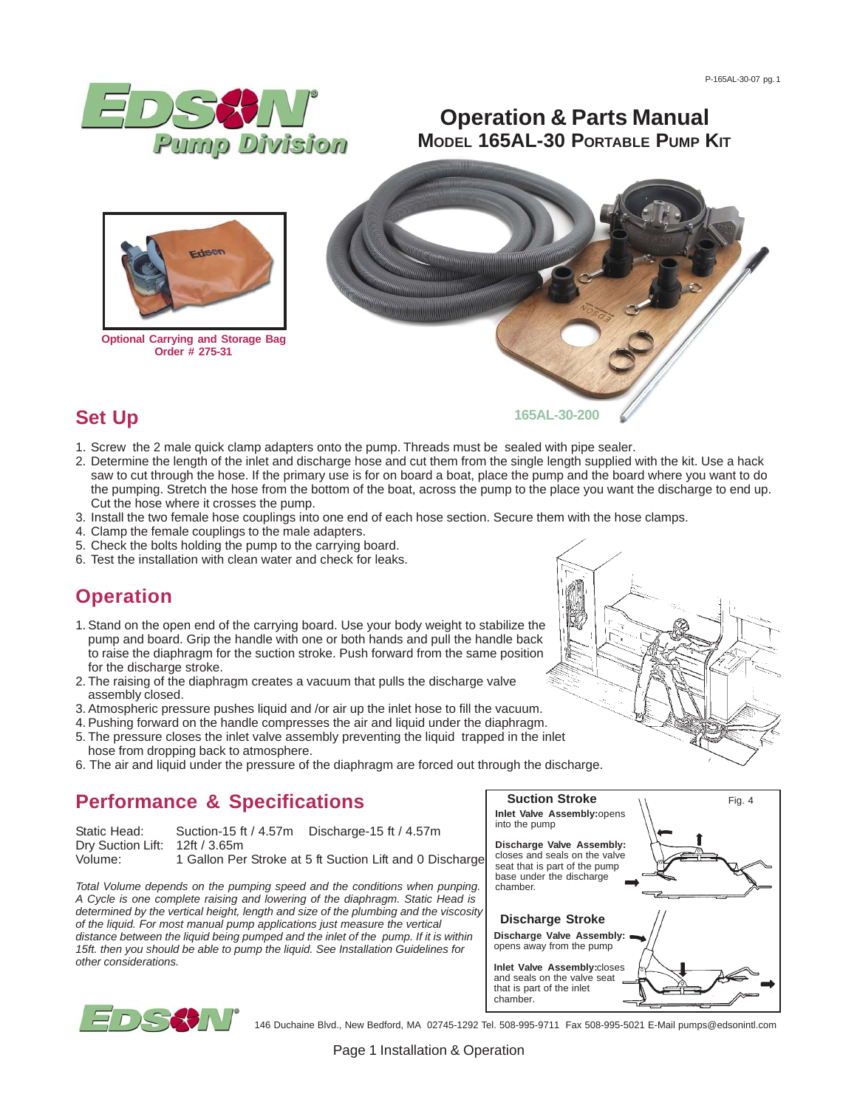

## **Set Up**

- 1. Screw the 2 male quick clamp adapters onto the pump. Threads must be sealed with pipe sealer.
- 2. Determine the length of the inlet and discharge hose and cut them from the single length supplied with the kit. Use a hack saw to cut through the hose. If the primary use is for on board a boat, place the pump and the board where you want to do the pumping. Stretch the hose from the bottom of the boat, across the pump to the place you want the discharge to end up. Cut the hose where it crosses the pump.
- 3. Install the two female hose couplings into one end of each hose section. Secure them with the hose clamps.
- 4. Clamp the female couplings to the male adapters.
- 5. Check the bolts holding the pump to the carrying board.
- 6. Test the installation with clean water and check for leaks.

## **Operation**

- 1. Stand on the open end of the carrying board. Use your body weight to stabilize the pump and board. Grip the handle with one or both hands and pull the handle back to raise the diaphragm for the suction stroke. Push forward from the same position for the discharge stroke.
- 2. The raising of the diaphragm creates a vacuum that pulls the discharge valve assembly closed.
- 3. Atmospheric pressure pushes liquid and /or air up the inlet hose to fill the vacuum.
- 4. Pushing forward on the handle compresses the air and liquid under the diaphragm.
- 5. The pressure closes the inlet valve assembly preventing the liquid trapped in the inlet hose from dropping back to atmosphere.
- 6. The air and liquid under the pressure of the diaphragm are forced out through the discharge.

# **Performance & Specifications**

| Static Head:                   | Suction-15 ft / 4.57m | Discharge-15 ft / 4.57m                                  |
|--------------------------------|-----------------------|----------------------------------------------------------|
| Dry Suction Lift: 12ft / 3.65m |                       |                                                          |
| Volume:                        |                       | 1 Gallon Per Stroke at 5 ft Suction Lift and 0 Discharge |

*Total Volume depends on the pumping speed and the conditions when punping. A Cycle is one complete raising and lowering of the diaphragm. Static Head is determined by the vertical height, length and size of the plumbing and the viscosity of the liquid. For most manual pump applications just measure the vertical distance between the liquid being pumped and the inlet of the pump. If it is within 15ft. then you should be able to pump the liquid. See Installation Guidelines for other considerations.*





146 Duchaine Blvd., New Bedford, MA 02745-1292 Tel. 508-995-9711 Fax 508-995-5021 E-Mail pumps@edsonintl.com